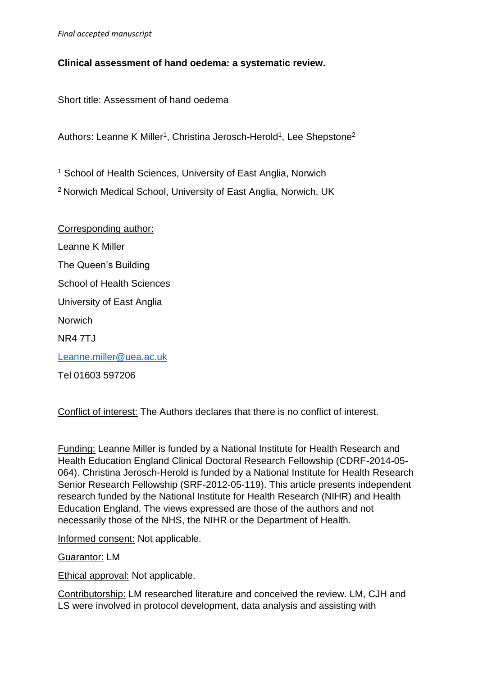### **Clinical assessment of hand oedema: a systematic review.**

Short title: Assessment of hand oedema

Authors: Leanne K Miller<sup>1</sup>, Christina Jerosch-Herold<sup>1</sup>, Lee Shepstone<sup>2</sup>

<sup>1</sup> School of Health Sciences, University of East Anglia, Norwich

<sup>2</sup> Norwich Medical School, University of East Anglia, Norwich, UK

Corresponding author: Leanne K Miller The Queen's Building School of Health Sciences University of East Anglia **Norwich** NR4 7TJ [Leanne.miller@uea.ac.uk](mailto:Leanne.miller@uea.ac.uk) Tel 01603 597206

Conflict of interest: The Authors declares that there is no conflict of interest.

Funding: Leanne Miller is funded by a National Institute for Health Research and Health Education England Clinical Doctoral Research Fellowship (CDRF-2014-05- 064). Christina Jerosch-Herold is funded by a National Institute for Health Research Senior Research Fellowship (SRF-2012-05-119). This article presents independent research funded by the National Institute for Health Research (NIHR) and Health Education England. The views expressed are those of the authors and not necessarily those of the NHS, the NIHR or the Department of Health.

Informed consent: Not applicable.

Guarantor: LM

Ethical approval: Not applicable.

Contributorship: LM researched literature and conceived the review. LM, CJH and LS were involved in protocol development, data analysis and assisting with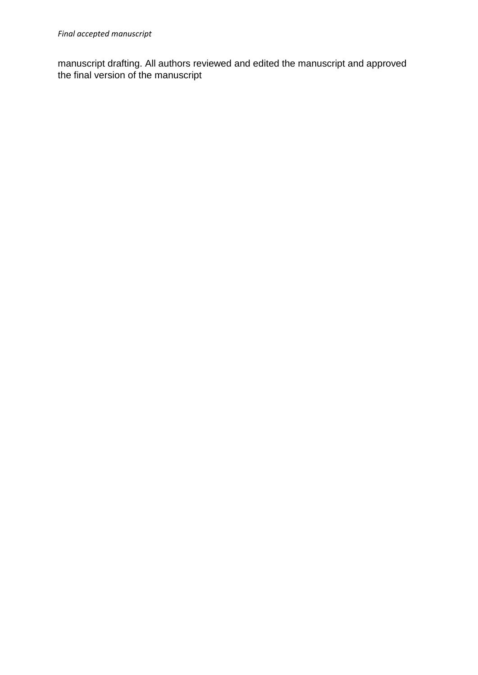manuscript drafting. All authors reviewed and edited the manuscript and approved the final version of the manuscript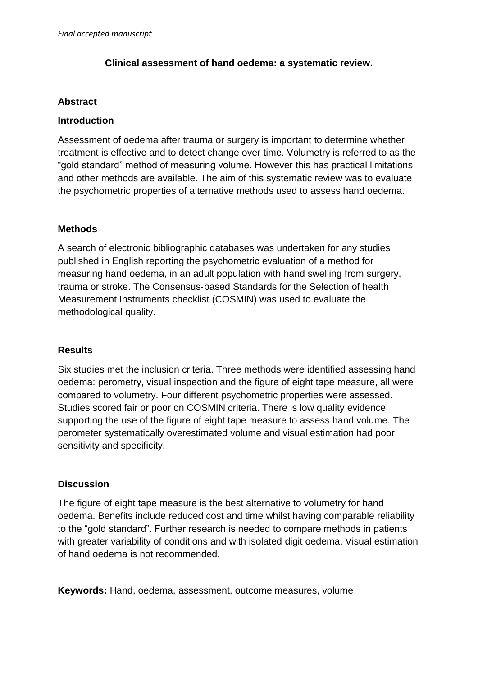#### **Clinical assessment of hand oedema: a systematic review.**

#### **Abstract**

#### **Introduction**

Assessment of oedema after trauma or surgery is important to determine whether treatment is effective and to detect change over time. Volumetry is referred to as the "gold standard" method of measuring volume. However this has practical limitations and other methods are available. The aim of this systematic review was to evaluate the psychometric properties of alternative methods used to assess hand oedema.

#### **Methods**

A search of electronic bibliographic databases was undertaken for any studies published in English reporting the psychometric evaluation of a method for measuring hand oedema, in an adult population with hand swelling from surgery, trauma or stroke. The Consensus‐based Standards for the Selection of health Measurement Instruments checklist (COSMIN) was used to evaluate the methodological quality.

#### **Results**

Six studies met the inclusion criteria. Three methods were identified assessing hand oedema: perometry, visual inspection and the figure of eight tape measure, all were compared to volumetry. Four different psychometric properties were assessed. Studies scored fair or poor on COSMIN criteria. There is low quality evidence supporting the use of the figure of eight tape measure to assess hand volume. The perometer systematically overestimated volume and visual estimation had poor sensitivity and specificity.

### **Discussion**

The figure of eight tape measure is the best alternative to volumetry for hand oedema. Benefits include reduced cost and time whilst having comparable reliability to the "gold standard". Further research is needed to compare methods in patients with greater variability of conditions and with isolated digit oedema. Visual estimation of hand oedema is not recommended.

**Keywords:** Hand, oedema, assessment, outcome measures, volume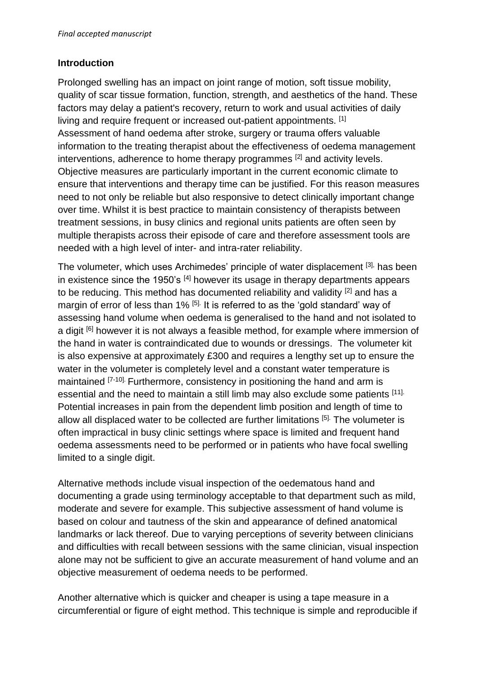## **Introduction**

Prolonged swelling has an impact on joint range of motion, soft tissue mobility, quality of scar tissue formation, function, strength, and aesthetics of the hand. These factors may delay a patient's recovery, return to work and usual activities of daily living and require frequent or increased out-patient appointments. [1] Assessment of hand oedema after stroke, surgery or trauma offers valuable information to the treating therapist about the effectiveness of oedema management interventions, adherence to home therapy programmes <sup>[2]</sup> and activity levels. Objective measures are particularly important in the current economic climate to ensure that interventions and therapy time can be justified. For this reason measures need to not only be reliable but also responsive to detect clinically important change over time. Whilst it is best practice to maintain consistency of therapists between treatment sessions, in busy clinics and regional units patients are often seen by multiple therapists across their episode of care and therefore assessment tools are needed with a high level of inter- and intra-rater reliability.

The volumeter, which uses Archimedes' principle of water displacement [3], has been in existence since the 1950's  $[4]$  however its usage in therapy departments appears to be reducing. This method has documented reliability and validity <sup>[2]</sup> and has a margin of error of less than 1% <sup>[5].</sup> It is referred to as the 'gold standard' way of assessing hand volume when oedema is generalised to the hand and not isolated to a digit <sup>[6]</sup> however it is not always a feasible method, for example where immersion of the hand in water is contraindicated due to wounds or dressings. The volumeter kit is also expensive at approximately £300 and requires a lengthy set up to ensure the water in the volumeter is completely level and a constant water temperature is maintained <sup>[7-10]</sup> Furthermore, consistency in positioning the hand and arm is essential and the need to maintain a still limb may also exclude some patients [11]. Potential increases in pain from the dependent limb position and length of time to allow all displaced water to be collected are further limitations [5]. The volumeter is often impractical in busy clinic settings where space is limited and frequent hand oedema assessments need to be performed or in patients who have focal swelling limited to a single digit.

Alternative methods include visual inspection of the oedematous hand and documenting a grade using terminology acceptable to that department such as mild, moderate and severe for example. This subjective assessment of hand volume is based on colour and tautness of the skin and appearance of defined anatomical landmarks or lack thereof. Due to varying perceptions of severity between clinicians and difficulties with recall between sessions with the same clinician, visual inspection alone may not be sufficient to give an accurate measurement of hand volume and an objective measurement of oedema needs to be performed.

Another alternative which is quicker and cheaper is using a tape measure in a circumferential or figure of eight method. This technique is simple and reproducible if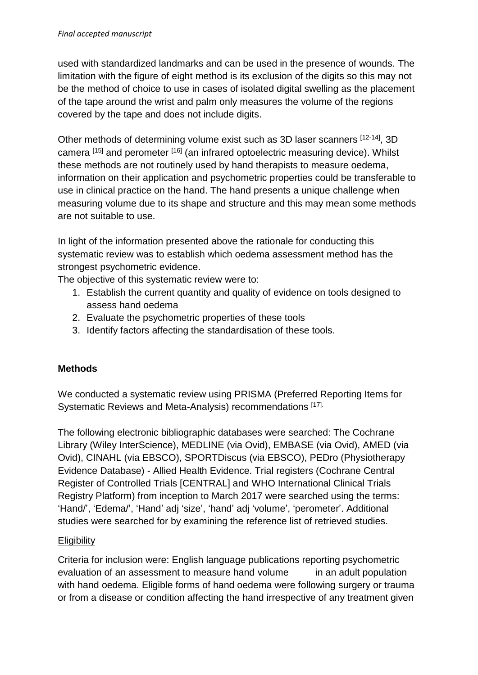used with standardized landmarks and can be used in the presence of wounds. The limitation with the figure of eight method is its exclusion of the digits so this may not be the method of choice to use in cases of isolated digital swelling as the placement of the tape around the wrist and palm only measures the volume of the regions covered by the tape and does not include digits.

Other methods of determining volume exist such as 3D laser scanners [12-14], 3D camera [15] and perometer [16] (an infrared optoelectric measuring device). Whilst these methods are not routinely used by hand therapists to measure oedema, information on their application and psychometric properties could be transferable to use in clinical practice on the hand. The hand presents a unique challenge when measuring volume due to its shape and structure and this may mean some methods are not suitable to use.

In light of the information presented above the rationale for conducting this systematic review was to establish which oedema assessment method has the strongest psychometric evidence.

The objective of this systematic review were to:

- 1. Establish the current quantity and quality of evidence on tools designed to assess hand oedema
- 2. Evaluate the psychometric properties of these tools
- 3. Identify factors affecting the standardisation of these tools.

## **Methods**

We conducted a systematic review using PRISMA (Preferred Reporting Items for Systematic Reviews and Meta-Analysis) recommendations [17].

The following electronic bibliographic databases were searched: The Cochrane Library (Wiley InterScience), MEDLINE (via Ovid), EMBASE (via Ovid), AMED (via Ovid), CINAHL (via EBSCO), SPORTDiscus (via EBSCO), PEDro (Physiotherapy Evidence Database) - Allied Health Evidence. Trial registers (Cochrane Central Register of Controlled Trials [CENTRAL] and WHO International Clinical Trials Registry Platform) from inception to March 2017 were searched using the terms: 'Hand/', 'Edema/', 'Hand' adj 'size', 'hand' adj 'volume', 'perometer'. Additional studies were searched for by examining the reference list of retrieved studies.

### **Eligibility**

Criteria for inclusion were: English language publications reporting psychometric evaluation of an assessment to measure hand volume in an adult population with hand oedema. Eligible forms of hand oedema were following surgery or trauma or from a disease or condition affecting the hand irrespective of any treatment given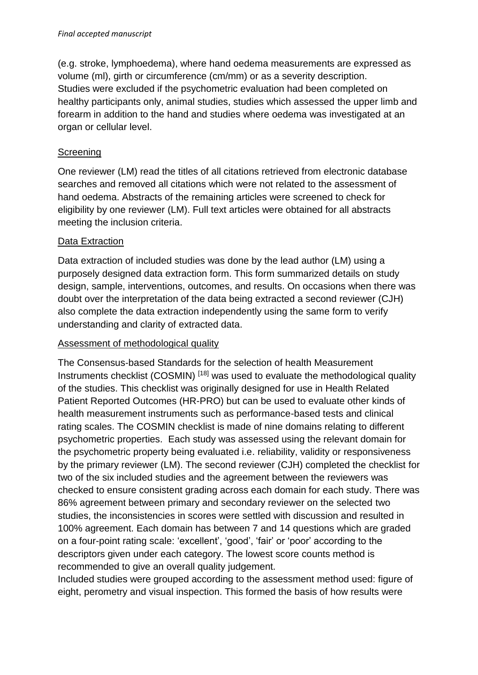(e.g. stroke, lymphoedema), where hand oedema measurements are expressed as volume (ml), girth or circumference (cm/mm) or as a severity description. Studies were excluded if the psychometric evaluation had been completed on healthy participants only, animal studies, studies which assessed the upper limb and forearm in addition to the hand and studies where oedema was investigated at an organ or cellular level.

# **Screening**

One reviewer (LM) read the titles of all citations retrieved from electronic database searches and removed all citations which were not related to the assessment of hand oedema. Abstracts of the remaining articles were screened to check for eligibility by one reviewer (LM). Full text articles were obtained for all abstracts meeting the inclusion criteria.

# Data Extraction

Data extraction of included studies was done by the lead author (LM) using a purposely designed data extraction form. This form summarized details on study design, sample, interventions, outcomes, and results. On occasions when there was doubt over the interpretation of the data being extracted a second reviewer (CJH) also complete the data extraction independently using the same form to verify understanding and clarity of extracted data.

## Assessment of methodological quality

The Consensus‐based Standards for the selection of health Measurement Instruments checklist (COSMIN) [18] was used to evaluate the methodological quality of the studies. This checklist was originally designed for use in Health Related Patient Reported Outcomes (HR-PRO) but can be used to evaluate other kinds of health measurement instruments such as performance-based tests and clinical rating scales. The COSMIN checklist is made of nine domains relating to different psychometric properties. Each study was assessed using the relevant domain for the psychometric property being evaluated i.e. reliability, validity or responsiveness by the primary reviewer (LM). The second reviewer (CJH) completed the checklist for two of the six included studies and the agreement between the reviewers was checked to ensure consistent grading across each domain for each study. There was 86% agreement between primary and secondary reviewer on the selected two studies, the inconsistencies in scores were settled with discussion and resulted in 100% agreement. Each domain has between 7 and 14 questions which are graded on a four-point rating scale: 'excellent', 'good', 'fair' or 'poor' according to the descriptors given under each category. The lowest score counts method is recommended to give an overall quality judgement.

Included studies were grouped according to the assessment method used: figure of eight, perometry and visual inspection. This formed the basis of how results were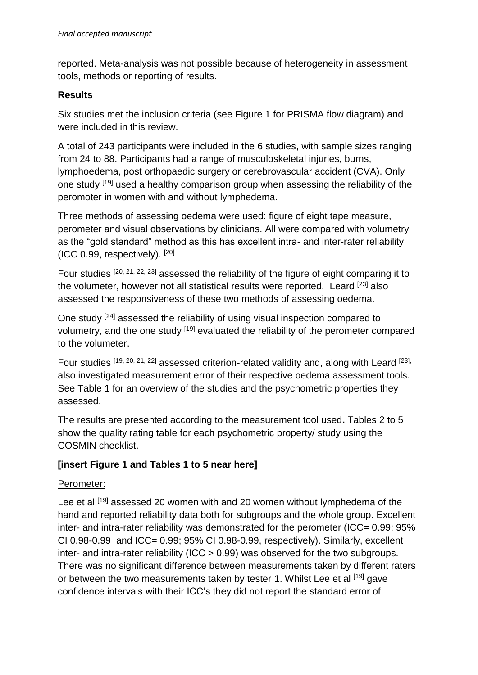reported. Meta-analysis was not possible because of heterogeneity in assessment tools, methods or reporting of results.

#### **Results**

Six studies met the inclusion criteria (see Figure 1 for PRISMA flow diagram) and were included in this review.

A total of 243 participants were included in the 6 studies, with sample sizes ranging from 24 to 88. Participants had a range of musculoskeletal injuries, burns, lymphoedema, post orthopaedic surgery or cerebrovascular accident (CVA). Only one study [19] used a healthy comparison group when assessing the reliability of the peromoter in women with and without lymphedema.

Three methods of assessing oedema were used: figure of eight tape measure, perometer and visual observations by clinicians. All were compared with volumetry as the "gold standard" method as this has excellent intra- and inter-rater reliability (ICC 0.99, respectively). [20]

Four studies [20, 21, 22, 23] assessed the reliability of the figure of eight comparing it to the volumeter, however not all statistical results were reported. Leard <sup>[23]</sup> also assessed the responsiveness of these two methods of assessing oedema.

One study [24] assessed the reliability of using visual inspection compared to volumetry, and the one study [19] evaluated the reliability of the perometer compared to the volumeter.

Four studies [19, 20, 21, 22] assessed criterion-related validity and, along with Leard [23], also investigated measurement error of their respective oedema assessment tools. See Table 1 for an overview of the studies and the psychometric properties they assessed.

The results are presented according to the measurement tool used**.** Tables 2 to 5 show the quality rating table for each psychometric property/ study using the COSMIN checklist.

## **[insert Figure 1 and Tables 1 to 5 near here]**

### Perometer:

Lee et al [19] assessed 20 women with and 20 women without lymphedema of the hand and reported reliability data both for subgroups and the whole group. Excellent inter- and intra-rater reliability was demonstrated for the perometer (ICC= 0.99; 95% CI 0.98-0.99 and ICC= 0.99; 95% CI 0.98-0.99, respectively). Similarly, excellent inter- and intra-rater reliability (ICC > 0.99) was observed for the two subgroups. There was no significant difference between measurements taken by different raters or between the two measurements taken by tester 1. Whilst Lee et al [19] gave confidence intervals with their ICC's they did not report the standard error of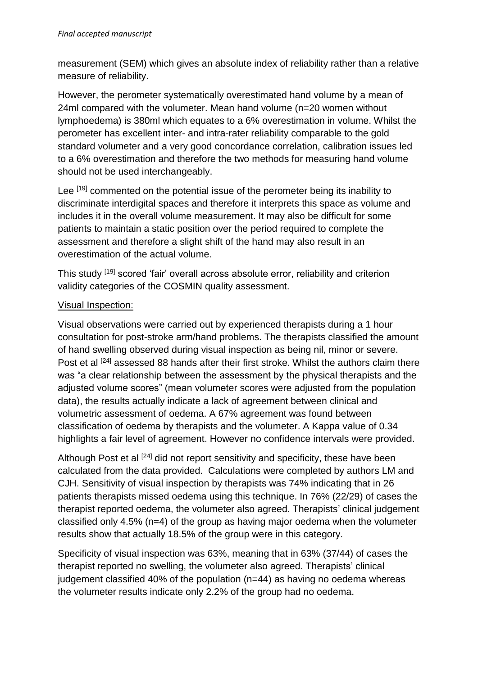measurement (SEM) which gives an absolute index of reliability rather than a relative measure of reliability.

However, the perometer systematically overestimated hand volume by a mean of 24ml compared with the volumeter. Mean hand volume (n=20 women without lymphoedema) is 380ml which equates to a 6% overestimation in volume. Whilst the perometer has excellent inter- and intra-rater reliability comparable to the gold standard volumeter and a very good concordance correlation, calibration issues led to a 6% overestimation and therefore the two methods for measuring hand volume should not be used interchangeably.

Lee [19] commented on the potential issue of the perometer being its inability to discriminate interdigital spaces and therefore it interprets this space as volume and includes it in the overall volume measurement. It may also be difficult for some patients to maintain a static position over the period required to complete the assessment and therefore a slight shift of the hand may also result in an overestimation of the actual volume.

This study [19] scored 'fair' overall across absolute error, reliability and criterion validity categories of the COSMIN quality assessment.

## Visual Inspection:

Visual observations were carried out by experienced therapists during a 1 hour consultation for post-stroke arm/hand problems. The therapists classified the amount of hand swelling observed during visual inspection as being nil, minor or severe. Post et al <sup>[24]</sup> assessed 88 hands after their first stroke. Whilst the authors claim there was "a clear relationship between the assessment by the physical therapists and the adjusted volume scores" (mean volumeter scores were adjusted from the population data), the results actually indicate a lack of agreement between clinical and volumetric assessment of oedema. A 67% agreement was found between classification of oedema by therapists and the volumeter. A Kappa value of 0.34 highlights a fair level of agreement. However no confidence intervals were provided.

Although Post et al <sup>[24]</sup> did not report sensitivity and specificity, these have been calculated from the data provided. Calculations were completed by authors LM and CJH. Sensitivity of visual inspection by therapists was 74% indicating that in 26 patients therapists missed oedema using this technique. In 76% (22/29) of cases the therapist reported oedema, the volumeter also agreed. Therapists' clinical judgement classified only 4.5% (n=4) of the group as having major oedema when the volumeter results show that actually 18.5% of the group were in this category.

Specificity of visual inspection was 63%, meaning that in 63% (37/44) of cases the therapist reported no swelling, the volumeter also agreed. Therapists' clinical judgement classified 40% of the population (n=44) as having no oedema whereas the volumeter results indicate only 2.2% of the group had no oedema.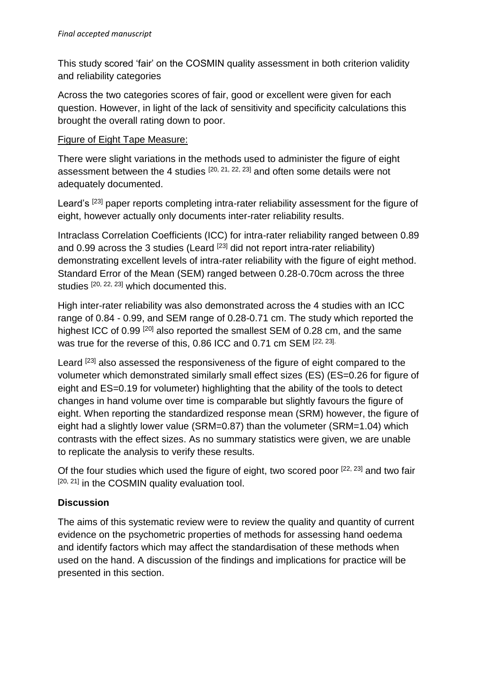This study scored 'fair' on the COSMIN quality assessment in both criterion validity and reliability categories

Across the two categories scores of fair, good or excellent were given for each question. However, in light of the lack of sensitivity and specificity calculations this brought the overall rating down to poor.

## Figure of Eight Tape Measure:

There were slight variations in the methods used to administer the figure of eight assessment between the 4 studies  $[20, 21, 22, 23]$  and often some details were not adequately documented.

Leard's <sup>[23]</sup> paper reports completing intra-rater reliability assessment for the figure of eight, however actually only documents inter-rater reliability results.

Intraclass Correlation Coefficients (ICC) for intra-rater reliability ranged between 0.89 and 0.99 across the 3 studies (Leard  $^{[23]}$  did not report intra-rater reliability) demonstrating excellent levels of intra-rater reliability with the figure of eight method. Standard Error of the Mean (SEM) ranged between 0.28-0.70cm across the three studies [20, 22, 23] which documented this.

High inter-rater reliability was also demonstrated across the 4 studies with an ICC range of 0.84 - 0.99, and SEM range of 0.28-0.71 cm. The study which reported the highest ICC of 0.99<sup>[20]</sup> also reported the smallest SEM of 0.28 cm, and the same was true for the reverse of this, 0.86 ICC and 0.71 cm SEM [22, 23].

Leard <sup>[23]</sup> also assessed the responsiveness of the figure of eight compared to the volumeter which demonstrated similarly small effect sizes (ES) (ES=0.26 for figure of eight and ES=0.19 for volumeter) highlighting that the ability of the tools to detect changes in hand volume over time is comparable but slightly favours the figure of eight. When reporting the standardized response mean (SRM) however, the figure of eight had a slightly lower value (SRM=0.87) than the volumeter (SRM=1.04) which contrasts with the effect sizes. As no summary statistics were given, we are unable to replicate the analysis to verify these results.

Of the four studies which used the figure of eight, two scored poor [22, 23] and two fair  $[20, 21]$  in the COSMIN quality evaluation tool.

## **Discussion**

The aims of this systematic review were to review the quality and quantity of current evidence on the psychometric properties of methods for assessing hand oedema and identify factors which may affect the standardisation of these methods when used on the hand. A discussion of the findings and implications for practice will be presented in this section.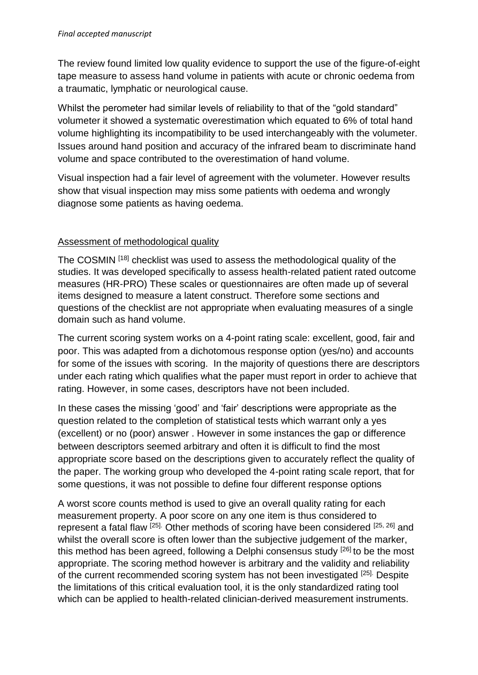The review found limited low quality evidence to support the use of the figure-of-eight tape measure to assess hand volume in patients with acute or chronic oedema from a traumatic, lymphatic or neurological cause.

Whilst the perometer had similar levels of reliability to that of the "gold standard" volumeter it showed a systematic overestimation which equated to 6% of total hand volume highlighting its incompatibility to be used interchangeably with the volumeter. Issues around hand position and accuracy of the infrared beam to discriminate hand volume and space contributed to the overestimation of hand volume.

Visual inspection had a fair level of agreement with the volumeter. However results show that visual inspection may miss some patients with oedema and wrongly diagnose some patients as having oedema.

## Assessment of methodological quality

The COSMIN [18] checklist was used to assess the methodological quality of the studies. It was developed specifically to assess health-related patient rated outcome measures (HR-PRO) These scales or questionnaires are often made up of several items designed to measure a latent construct. Therefore some sections and questions of the checklist are not appropriate when evaluating measures of a single domain such as hand volume.

The current scoring system works on a 4-point rating scale: excellent, good, fair and poor. This was adapted from a dichotomous response option (yes/no) and accounts for some of the issues with scoring. In the majority of questions there are descriptors under each rating which qualifies what the paper must report in order to achieve that rating. However, in some cases, descriptors have not been included.

In these cases the missing 'good' and 'fair' descriptions were appropriate as the question related to the completion of statistical tests which warrant only a yes (excellent) or no (poor) answer . However in some instances the gap or difference between descriptors seemed arbitrary and often it is difficult to find the most appropriate score based on the descriptions given to accurately reflect the quality of the paper. The working group who developed the 4-point rating scale report, that for some questions, it was not possible to define four different response options

A worst score counts method is used to give an overall quality rating for each measurement property. A poor score on any one item is thus considered to represent a fatal flaw [25]. Other methods of scoring have been considered [25, 26] and whilst the overall score is often lower than the subjective judgement of the marker, this method has been agreed, following a Delphi consensus study [26] to be the most appropriate. The scoring method however is arbitrary and the validity and reliability of the current recommended scoring system has not been investigated [25]. Despite the limitations of this critical evaluation tool, it is the only standardized rating tool which can be applied to health-related clinician-derived measurement instruments.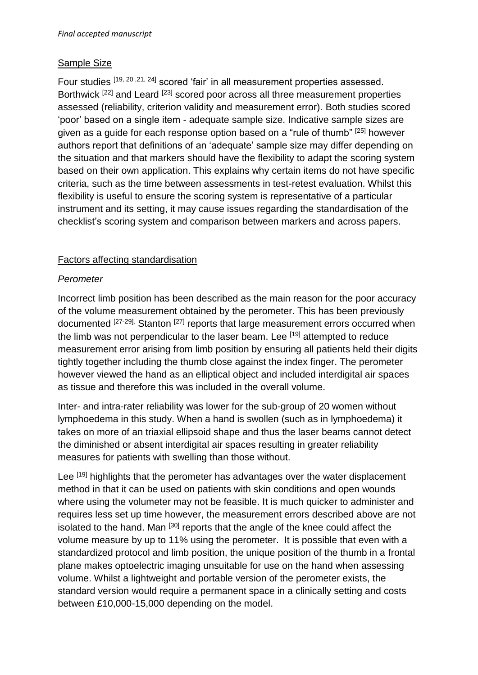## Sample Size

Four studies [19, 20 ,21, 24] scored 'fair' in all measurement properties assessed. Borthwick <sup>[22]</sup> and Leard <sup>[23]</sup> scored poor across all three measurement properties assessed (reliability, criterion validity and measurement error). Both studies scored 'poor' based on a single item - adequate sample size. Indicative sample sizes are given as a guide for each response option based on a "rule of thumb" [25] however authors report that definitions of an 'adequate' sample size may differ depending on the situation and that markers should have the flexibility to adapt the scoring system based on their own application. This explains why certain items do not have specific criteria, such as the time between assessments in test-retest evaluation. Whilst this flexibility is useful to ensure the scoring system is representative of a particular instrument and its setting, it may cause issues regarding the standardisation of the checklist's scoring system and comparison between markers and across papers.

## Factors affecting standardisation

### *Perometer*

Incorrect limb position has been described as the main reason for the poor accuracy of the volume measurement obtained by the perometer. This has been previously documented [27-29]. Stanton <sup>[27]</sup> reports that large measurement errors occurred when the limb was not perpendicular to the laser beam. Lee [19] attempted to reduce measurement error arising from limb position by ensuring all patients held their digits tightly together including the thumb close against the index finger. The perometer however viewed the hand as an elliptical object and included interdigital air spaces as tissue and therefore this was included in the overall volume.

Inter- and intra-rater reliability was lower for the sub-group of 20 women without lymphoedema in this study. When a hand is swollen (such as in lymphoedema) it takes on more of an triaxial ellipsoid shape and thus the laser beams cannot detect the diminished or absent interdigital air spaces resulting in greater reliability measures for patients with swelling than those without.

Lee [19] highlights that the perometer has advantages over the water displacement method in that it can be used on patients with skin conditions and open wounds where using the volumeter may not be feasible. It is much quicker to administer and requires less set up time however, the measurement errors described above are not isolated to the hand. Man <sup>[30]</sup> reports that the angle of the knee could affect the volume measure by up to 11% using the perometer. It is possible that even with a standardized protocol and limb position, the unique position of the thumb in a frontal plane makes optoelectric imaging unsuitable for use on the hand when assessing volume. Whilst a lightweight and portable version of the perometer exists, the standard version would require a permanent space in a clinically setting and costs between £10,000-15,000 depending on the model.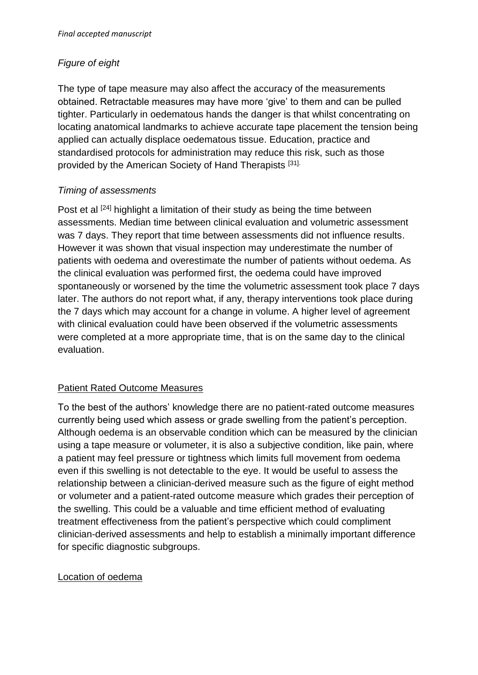## *Figure of eight*

The type of tape measure may also affect the accuracy of the measurements obtained. Retractable measures may have more 'give' to them and can be pulled tighter. Particularly in oedematous hands the danger is that whilst concentrating on locating anatomical landmarks to achieve accurate tape placement the tension being applied can actually displace oedematous tissue. Education, practice and standardised protocols for administration may reduce this risk, such as those provided by the American Society of Hand Therapists [31].

### *Timing of assessments*

Post et al <sup>[24]</sup> highlight a limitation of their study as being the time between assessments. Median time between clinical evaluation and volumetric assessment was 7 days. They report that time between assessments did not influence results. However it was shown that visual inspection may underestimate the number of patients with oedema and overestimate the number of patients without oedema. As the clinical evaluation was performed first, the oedema could have improved spontaneously or worsened by the time the volumetric assessment took place 7 days later. The authors do not report what, if any, therapy interventions took place during the 7 days which may account for a change in volume. A higher level of agreement with clinical evaluation could have been observed if the volumetric assessments were completed at a more appropriate time, that is on the same day to the clinical evaluation.

### Patient Rated Outcome Measures

To the best of the authors' knowledge there are no patient-rated outcome measures currently being used which assess or grade swelling from the patient's perception. Although oedema is an observable condition which can be measured by the clinician using a tape measure or volumeter, it is also a subjective condition, like pain, where a patient may feel pressure or tightness which limits full movement from oedema even if this swelling is not detectable to the eye. It would be useful to assess the relationship between a clinician-derived measure such as the figure of eight method or volumeter and a patient-rated outcome measure which grades their perception of the swelling. This could be a valuable and time efficient method of evaluating treatment effectiveness from the patient's perspective which could compliment clinician-derived assessments and help to establish a minimally important difference for specific diagnostic subgroups.

### Location of oedema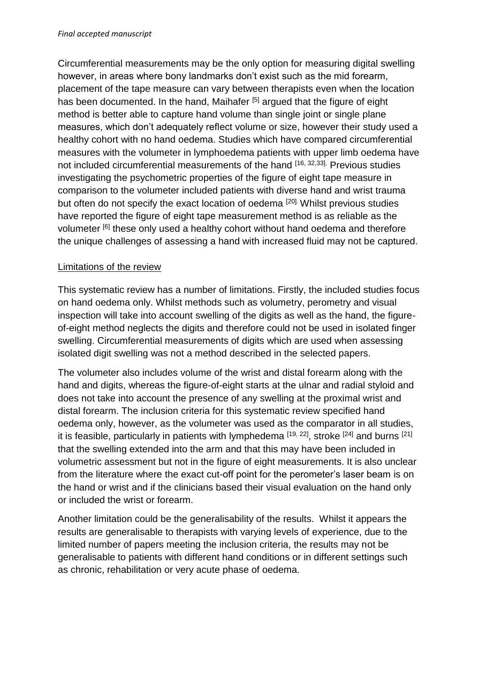Circumferential measurements may be the only option for measuring digital swelling however, in areas where bony landmarks don't exist such as the mid forearm, placement of the tape measure can vary between therapists even when the location has been documented. In the hand, Maihafer [5] argued that the figure of eight method is better able to capture hand volume than single joint or single plane measures, which don't adequately reflect volume or size, however their study used a healthy cohort with no hand oedema. Studies which have compared circumferential measures with the volumeter in lymphoedema patients with upper limb oedema have not included circumferential measurements of the hand [16, 32, 33]. Previous studies investigating the psychometric properties of the figure of eight tape measure in comparison to the volumeter included patients with diverse hand and wrist trauma but often do not specify the exact location of oedema <sup>[20].</sup> Whilst previous studies have reported the figure of eight tape measurement method is as reliable as the volumeter <sup>[6]</sup> these only used a healthy cohort without hand oedema and therefore the unique challenges of assessing a hand with increased fluid may not be captured.

## Limitations of the review

This systematic review has a number of limitations. Firstly, the included studies focus on hand oedema only. Whilst methods such as volumetry, perometry and visual inspection will take into account swelling of the digits as well as the hand, the figureof-eight method neglects the digits and therefore could not be used in isolated finger swelling. Circumferential measurements of digits which are used when assessing isolated digit swelling was not a method described in the selected papers.

The volumeter also includes volume of the wrist and distal forearm along with the hand and digits, whereas the figure-of-eight starts at the ulnar and radial styloid and does not take into account the presence of any swelling at the proximal wrist and distal forearm. The inclusion criteria for this systematic review specified hand oedema only, however, as the volumeter was used as the comparator in all studies, it is feasible, particularly in patients with lymphedema [19, 22], stroke [24] and burns [21] that the swelling extended into the arm and that this may have been included in volumetric assessment but not in the figure of eight measurements. It is also unclear from the literature where the exact cut-off point for the perometer's laser beam is on the hand or wrist and if the clinicians based their visual evaluation on the hand only or included the wrist or forearm.

Another limitation could be the generalisability of the results. Whilst it appears the results are generalisable to therapists with varying levels of experience, due to the limited number of papers meeting the inclusion criteria, the results may not be generalisable to patients with different hand conditions or in different settings such as chronic, rehabilitation or very acute phase of oedema.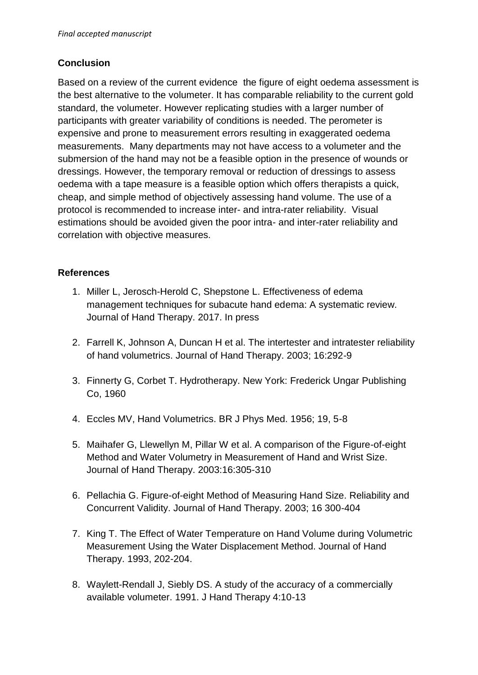## **Conclusion**

Based on a review of the current evidence the figure of eight oedema assessment is the best alternative to the volumeter. It has comparable reliability to the current gold standard, the volumeter. However replicating studies with a larger number of participants with greater variability of conditions is needed. The perometer is expensive and prone to measurement errors resulting in exaggerated oedema measurements. Many departments may not have access to a volumeter and the submersion of the hand may not be a feasible option in the presence of wounds or dressings. However, the temporary removal or reduction of dressings to assess oedema with a tape measure is a feasible option which offers therapists a quick, cheap, and simple method of objectively assessing hand volume. The use of a protocol is recommended to increase inter- and intra-rater reliability. Visual estimations should be avoided given the poor intra- and inter-rater reliability and correlation with objective measures.

## **References**

- 1. Miller L, Jerosch-Herold C, Shepstone L. Effectiveness of edema management techniques for subacute hand edema: A systematic review. Journal of Hand Therapy. 2017. In press
- 2. Farrell K, Johnson A, Duncan H et al. The intertester and intratester reliability of hand volumetrics. Journal of Hand Therapy. 2003; 16:292-9
- 3. Finnerty G, Corbet T. Hydrotherapy. New York: Frederick Ungar Publishing Co, 1960
- 4. Eccles MV, Hand Volumetrics. BR J Phys Med. 1956; 19, 5-8
- 5. Maihafer G, Llewellyn M, Pillar W et al. A comparison of the Figure-of-eight Method and Water Volumetry in Measurement of Hand and Wrist Size. Journal of Hand Therapy. 2003:16:305-310
- 6. Pellachia G. Figure-of-eight Method of Measuring Hand Size. Reliability and Concurrent Validity. Journal of Hand Therapy. 2003; 16 300-404
- 7. King T. The Effect of Water Temperature on Hand Volume during Volumetric Measurement Using the Water Displacement Method. Journal of Hand Therapy. 1993, 202-204.
- 8. Waylett-Rendall J, Siebly DS. A study of the accuracy of a commercially available volumeter. 1991. J Hand Therapy 4:10-13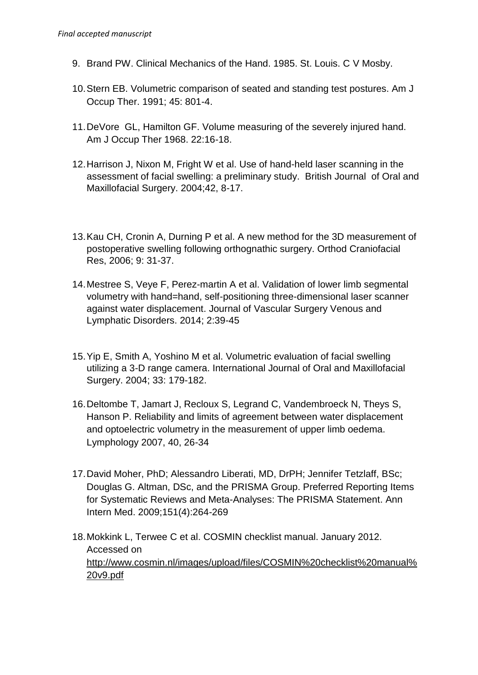- 9. Brand PW. Clinical Mechanics of the Hand. 1985. St. Louis. C V Mosby.
- 10.Stern EB. Volumetric comparison of seated and standing test postures. Am J Occup Ther. 1991; 45: 801-4.
- 11.DeVore GL, Hamilton GF. Volume measuring of the severely injured hand. Am J Occup Ther 1968. 22:16-18.
- 12.Harrison J, Nixon M, Fright W et al. Use of hand-held laser scanning in the assessment of facial swelling: a preliminary study. British Journal of Oral and Maxillofacial Surgery. 2004;42, 8-17.
- 13.Kau CH, Cronin A, Durning P et al. A new method for the 3D measurement of postoperative swelling following orthognathic surgery. Orthod Craniofacial Res, 2006; 9: 31-37.
- 14.Mestree S, Veye F, Perez-martin A et al. Validation of lower limb segmental volumetry with hand=hand, self-positioning three-dimensional laser scanner against water displacement. Journal of Vascular Surgery Venous and Lymphatic Disorders. 2014; 2:39-45
- 15.Yip E, Smith A, Yoshino M et al. Volumetric evaluation of facial swelling utilizing a 3-D range camera. International Journal of Oral and Maxillofacial Surgery. 2004; 33: 179-182.
- 16.Deltombe T, Jamart J, Recloux S, Legrand C, Vandembroeck N, Theys S, Hanson P. Reliability and limits of agreement between water displacement and optoelectric volumetry in the measurement of upper limb oedema. Lymphology 2007, 40, 26-34
- 17.David Moher, PhD; Alessandro Liberati, MD, DrPH; Jennifer Tetzlaff, BSc; Douglas G. Altman, DSc, and the PRISMA Grou[p.](http://annals.org/article.aspx?articleid=744664#n1-8) Preferred Reporting Items for Systematic Reviews and Meta-Analyses: The PRISMA Statement. Ann Intern Med. 2009;151(4):264-269
- 18.Mokkink L, Terwee C et al. COSMIN checklist manual. January 2012. Accessed on [http://www.cosmin.nl/images/upload/files/COSMIN%20checklist%20manual%](http://www.cosmin.nl/images/upload/files/COSMIN%20checklist%20manual%20v9.pdf) [20v9.pdf](http://www.cosmin.nl/images/upload/files/COSMIN%20checklist%20manual%20v9.pdf)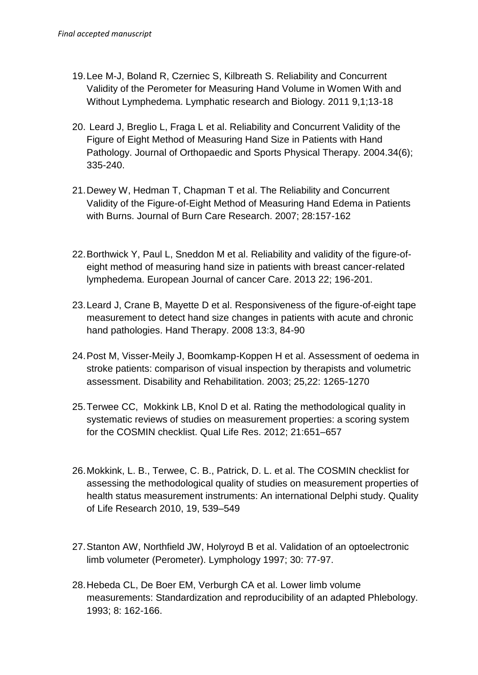- 19.Lee M-J, Boland R, Czerniec S, Kilbreath S. Reliability and Concurrent Validity of the Perometer for Measuring Hand Volume in Women With and Without Lymphedema. Lymphatic research and Biology. 2011 9,1;13-18
- 20. Leard J, Breglio L, Fraga L et al. Reliability and Concurrent Validity of the Figure of Eight Method of Measuring Hand Size in Patients with Hand Pathology. Journal of Orthopaedic and Sports Physical Therapy. 2004.34(6); 335-240.
- 21.Dewey W, Hedman T, Chapman T et al. The Reliability and Concurrent Validity of the Figure-of-Eight Method of Measuring Hand Edema in Patients with Burns. Journal of Burn Care Research. 2007; 28:157-162
- 22.Borthwick Y, Paul L, Sneddon M et al. Reliability and validity of the figure-ofeight method of measuring hand size in patients with breast cancer-related lymphedema. European Journal of cancer Care. 2013 22; 196-201.
- 23.Leard J, Crane B, Mayette D et al. Responsiveness of the figure-of-eight tape measurement to detect hand size changes in patients with acute and chronic hand pathologies. Hand Therapy. 2008 13:3, 84-90
- 24.Post M, Visser-Meily J, Boomkamp-Koppen H et al. Assessment of oedema in stroke patients: comparison of visual inspection by therapists and volumetric assessment. Disability and Rehabilitation. 2003; 25,22: 1265-1270
- 25.Terwee CC, Mokkink LB, Knol D et al. Rating the methodological quality in systematic reviews of studies on measurement properties: a scoring system for the COSMIN checklist. Qual Life Res. 2012; 21:651–657
- 26.Mokkink, L. B., Terwee, C. B., Patrick, D. L. et al. The COSMIN checklist for assessing the methodological quality of studies on measurement properties of health status measurement instruments: An international Delphi study. Quality of Life Research 2010, 19, 539–549
- 27.Stanton AW, Northfield JW, Holyroyd B et al. Validation of an optoelectronic limb volumeter (Perometer). Lymphology 1997; 30: 77-97.
- 28.Hebeda CL, De Boer EM, Verburgh CA et al. Lower limb volume measurements: Standardization and reproducibility of an adapted Phlebology. 1993; 8: 162-166.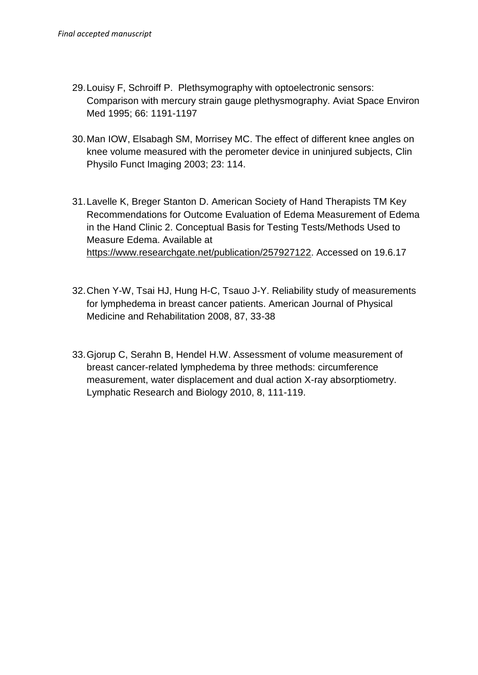- 29.Louisy F, Schroiff P. Plethsymography with optoelectronic sensors: Comparison with mercury strain gauge plethysmography. Aviat Space Environ Med 1995; 66: 1191-1197
- 30.Man IOW, Elsabagh SM, Morrisey MC. The effect of different knee angles on knee volume measured with the perometer device in uninjured subjects, Clin Physilo Funct Imaging 2003; 23: 114.
- 31.Lavelle K, Breger Stanton D. American Society of Hand Therapists TM Key Recommendations for Outcome Evaluation of Edema Measurement of Edema in the Hand Clinic 2. Conceptual Basis for Testing Tests/Methods Used to Measure Edema. Available at [https://www.researchgate.net/publication/257927122.](https://www.researchgate.net/publication/257927122) Accessed on 19.6.17
- 32.Chen Y-W, Tsai HJ, Hung H-C, Tsauo J-Y. Reliability study of measurements for lymphedema in breast cancer patients. American Journal of Physical Medicine and Rehabilitation 2008, 87, 33-38
- 33.Gjorup C, Serahn B, Hendel H.W. Assessment of volume measurement of breast cancer-related lymphedema by three methods: circumference measurement, water displacement and dual action X-ray absorptiometry. Lymphatic Research and Biology 2010, 8, 111-119.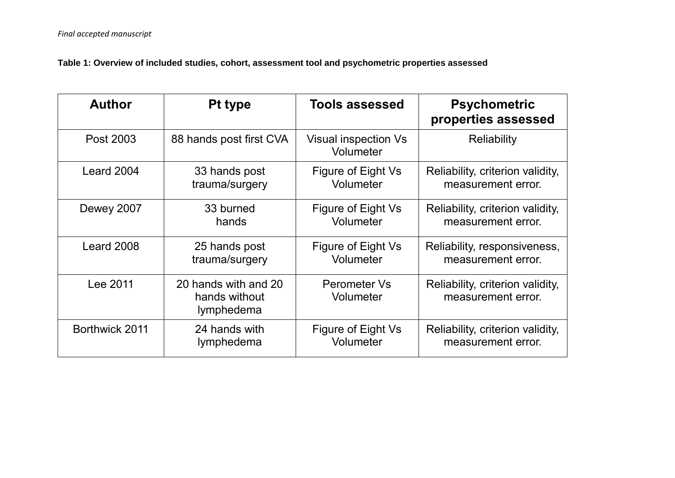**Table 1: Overview of included studies, cohort, assessment tool and psychometric properties assessed**

| <b>Author</b>  | <b>Pt type</b>                                      | <b>Tools assessed</b>                    | <b>Psychometric</b><br>properties assessed             |  |  |  |  |
|----------------|-----------------------------------------------------|------------------------------------------|--------------------------------------------------------|--|--|--|--|
| Post 2003      | 88 hands post first CVA                             | <b>Visual inspection Vs</b><br>Volumeter | <b>Reliability</b>                                     |  |  |  |  |
| Leard 2004     | 33 hands post                                       | Figure of Eight Vs                       | Reliability, criterion validity,                       |  |  |  |  |
|                | trauma/surgery                                      | Volumeter                                | measurement error.                                     |  |  |  |  |
| Dewey 2007     | 33 burned                                           | Figure of Eight Vs                       | Reliability, criterion validity,                       |  |  |  |  |
|                | hands                                               | Volumeter                                | measurement error.                                     |  |  |  |  |
| Leard 2008     | 25 hands post                                       | Figure of Eight Vs                       | Reliability, responsiveness,                           |  |  |  |  |
|                | trauma/surgery                                      | Volumeter                                | measurement error.                                     |  |  |  |  |
| Lee 2011       | 20 hands with and 20<br>hands without<br>lymphedema | Perometer Vs<br>Volumeter                | Reliability, criterion validity,<br>measurement error. |  |  |  |  |
| Borthwick 2011 | 24 hands with                                       | Figure of Eight Vs                       | Reliability, criterion validity,                       |  |  |  |  |
|                | lymphedema                                          | Volumeter                                | measurement error.                                     |  |  |  |  |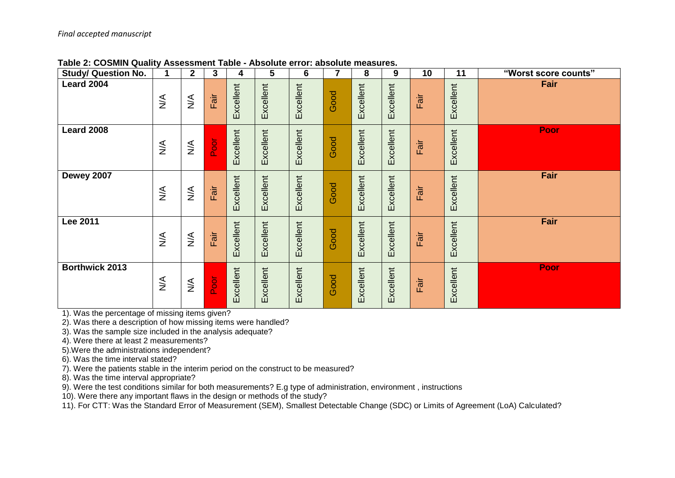| <b>Study/ Question No.</b> | 1                                | $\overline{\mathbf{2}}$         | 3                       | 4         | $\overline{\mathbf{5}}$ | $6\phantom{1}6$ | 7    | 8         | 9         | 10   | 11        | "Worst score counts" |
|----------------------------|----------------------------------|---------------------------------|-------------------------|-----------|-------------------------|-----------------|------|-----------|-----------|------|-----------|----------------------|
| Leard 2004                 | $\stackrel{\triangleleft}{\geq}$ | $\stackrel{\textstyle <}{\geq}$ | Fair                    | Excellent | Excellent               | Excellent       | Good | Excellent | Excellent | Fair | Excellent | Fair                 |
| <b>Leard 2008</b>          | $\stackrel{\leq}{\geq}$          | $\lessgtr$                      | $\overline{\mathsf{P}}$ | Excellent | Excellent               | Excellent       | Good | Excellent | Excellent | Fair | Excellent | Poor                 |
| Dewey 2007                 | $\stackrel{\leq}{\geq}$          | $\stackrel{\leq}{\geq}$         | Fair                    | Excellent | Excellent               | Excellent       | Good | Excellent | Excellent | Fair | Excellent | Fair                 |
| <b>Lee 2011</b>            | $\stackrel{\triangleleft}{\geq}$ | $\stackrel{\leq}{\geq}$         | Fair                    | Excellent | Excellent               | Excellent       | Good | Excellent | Excellent | Fair | Excellent | Fair                 |
| <b>Borthwick 2013</b>      | $\lessgtr$                       | $\stackrel{\leq}{\geq}$         | Poor                    | Excellent | Excellent               | Excellent       | Good | Excellent | Excellent | Fair | Excellent | Poor                 |

**Table 2: COSMIN Quality Assessment Table - Absolute error: absolute measures.**

1). Was the percentage of missing items given?

2). Was there a description of how missing items were handled?

3). Was the sample size included in the analysis adequate?

4). Were there at least 2 measurements?

5).Were the administrations independent?

6). Was the time interval stated?

7). Were the patients stable in the interim period on the construct to be measured?

8). Was the time interval appropriate?

9). Were the test conditions similar for both measurements? E.g type of administration, environment , instructions

10). Were there any important flaws in the design or methods of the study?

11). For CTT: Was the Standard Error of Measurement (SEM), Smallest Detectable Change (SDC) or Limits of Agreement (LoA) Calculated?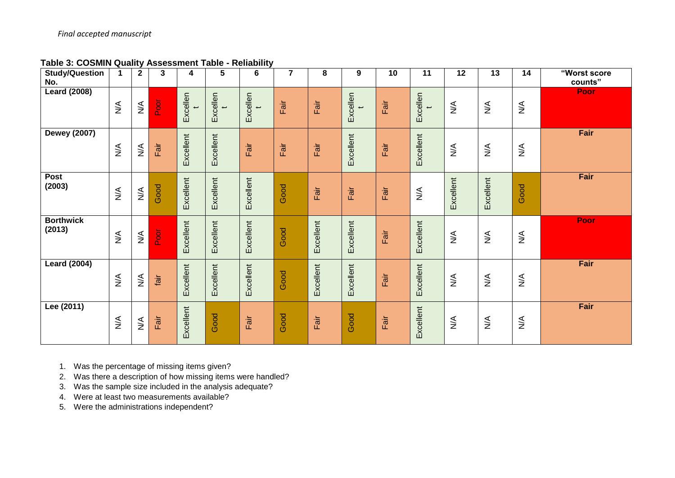**Table 3: COSMIN Quality Assessment Table - Reliability** 

| <b>Study/Question</b><br>No. | $\mathbf 1$                       | $\mathbf{2}$                    | 3    | 4         | 5                                    | 6                                    | $\overline{\mathbf{r}}$ | 8         | 9                        | 10   | 11                  | 12                               | 13                               | 14                           | "Worst score<br>counts" |
|------------------------------|-----------------------------------|---------------------------------|------|-----------|--------------------------------------|--------------------------------------|-------------------------|-----------|--------------------------|------|---------------------|----------------------------------|----------------------------------|------------------------------|-------------------------|
| <b>Leard (2008)</b>          | $\sum_{i=1}^{n}$                  | $\stackrel{\textstyle <}{\geq}$ | Poor | Excellen  | Excellen<br>$\overline{\phantom{a}}$ | Excellen<br>$\overline{\phantom{0}}$ | Fair                    | Fair      | Excellen<br>$\leftarrow$ | Fair | Excellen<br>t       | $\stackrel{\triangle}{\geq}$     | $\stackrel{\triangle}{\geq}$     | $\sum_{i=1}^{n}$             | <b>Poor</b>             |
| <b>Dewey (2007)</b>          | $\stackrel{\blacktriangle}{\geq}$ | $\lessgtr$                      | Fair | Excellent | Excellent                            | Fair                                 | Fair                    | Fair      | Excellent                | Fair | Excellent           | $\stackrel{\leq}{\geq}$          | $\lessgtr$                       | $\lessgtr$                   | Fair                    |
| Post<br>(2003)               | $\lessgtr$                        | $\lessgtr$                      | Good | Excellent | Excellent                            | Excellent                            | Good                    | Fair      | Fair                     | Fair | $\sum_{\mathbf{X}}$ | Excellent                        | Excellent                        | Good                         | Fair                    |
| <b>Borthwick</b><br>(2013)   | $\lessgtr$                        | $\lessgtr$                      | Poor | Excellent | Excellent                            | Excellent                            | Good                    | Excellent | Excellent                | Fair | Excellent           | $\stackrel{\leq}{\geq}$          | $\lessgtr$                       | $\lessgtr$                   | <b>Poor</b>             |
| <b>Leard (2004)</b>          | $\lessgtr$                        | $\lessgtr$                      | fair | Excellent | Excellent                            | Excellent                            | Good                    | Excellent | Excellent                | Fair | Excellent           | $\lessgtr$                       | $\lessgtr$                       | $\sum_{i=1}^{n}$             | Fair                    |
| Lee (2011)                   | $\frac{4}{2}$                     | $\sum_{i=1}^{n}$                | Fair | Excellent | Good                                 | Fair                                 | Good                    | Fair      | Good                     | Fair | Excellent           | $\stackrel{\triangleleft}{\geq}$ | $\stackrel{\triangleleft}{\geq}$ | $\stackrel{\triangle}{\geq}$ | Fair                    |

1. Was the percentage of missing items given?

2. Was there a description of how missing items were handled?

3. Was the sample size included in the analysis adequate?

4. Were at least two measurements available?

5. Were the administrations independent?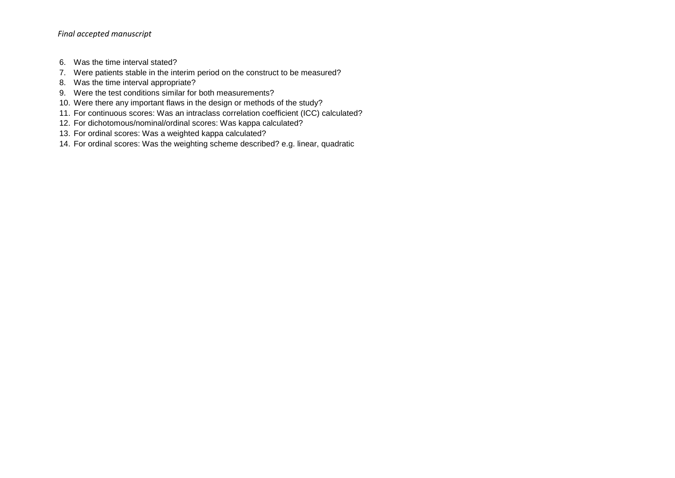- 6. Was the time interval stated?
- 7. Were patients stable in the interim period on the construct to be measured?
- 8. Was the time interval appropriate?
- 9. Were the test conditions similar for both measurements?
- 10. Were there any important flaws in the design or methods of the study?
- 11. For continuous scores: Was an intraclass correlation coefficient (ICC) calculated?
- 12. For dichotomous/nominal/ordinal scores: Was kappa calculated?
- 13. For ordinal scores: Was a weighted kappa calculated?
- 14. For ordinal scores: Was the weighting scheme described? e.g. linear, quadratic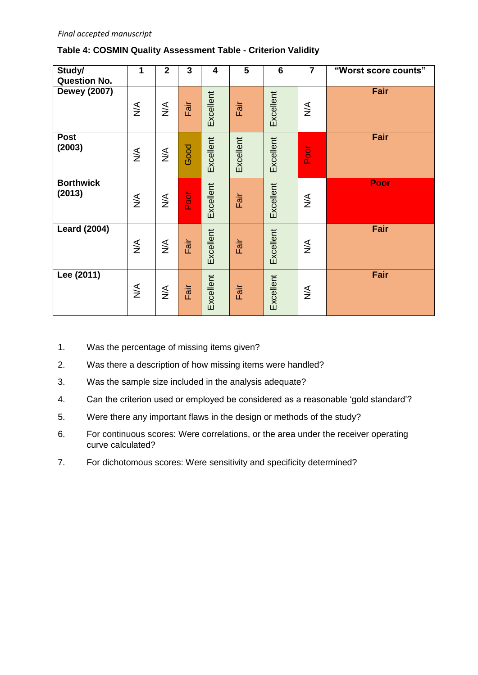#### **Table 4: COSMIN Quality Assessment Table - Criterion Validity**

| Study/<br><b>Question No.</b> | 1                                | $\overline{2}$                   | 3           | 4         | 5         | $6\phantom{1}6$ | $\overline{7}$                   | "Worst score counts" |
|-------------------------------|----------------------------------|----------------------------------|-------------|-----------|-----------|-----------------|----------------------------------|----------------------|
| <b>Dewey (2007)</b>           | $\lessgtr$                       | $\stackrel{\leq}{\geq}$          | Fair        | Excellent | Fair      | Excellent       | $\lessgtr$                       | Fair                 |
| <b>Post</b><br>(2003)         | $\stackrel{\leq}{\geq}$          | $\stackrel{\leq}{\geq}$          | Good        | Excellent | Excellent | Excellent       | <b>Poor</b>                      | Fair                 |
| <b>Borthwick</b><br>(2013)    | $\lessgtr$                       | $\lessgtr$                       | <b>Poor</b> | Excellent | Fair      | Excellent       | $\stackrel{\triangleleft}{\geq}$ | Poor                 |
| <b>Leard (2004)</b>           | $\stackrel{\triangle}{\geq}$     | $\stackrel{\triangleleft}{\geq}$ | Fair        | Excellent | Fair      | Excellent       | $\stackrel{\triangle}{\geq}$     | Fair                 |
| Lee (2011)                    | $\stackrel{\triangleleft}{\geq}$ | $\lessgtr$                       | Fair        | Excellent | Fair      | Excellent       | $\stackrel{\triangleleft}{\geq}$ | Fair                 |

- 1. Was the percentage of missing items given?
- 2. Was there a description of how missing items were handled?
- 3. Was the sample size included in the analysis adequate?
- 4. Can the criterion used or employed be considered as a reasonable 'gold standard'?
- 5. Were there any important flaws in the design or methods of the study?
- 6. For continuous scores: Were correlations, or the area under the receiver operating curve calculated?
- 7. For dichotomous scores: Were sensitivity and specificity determined?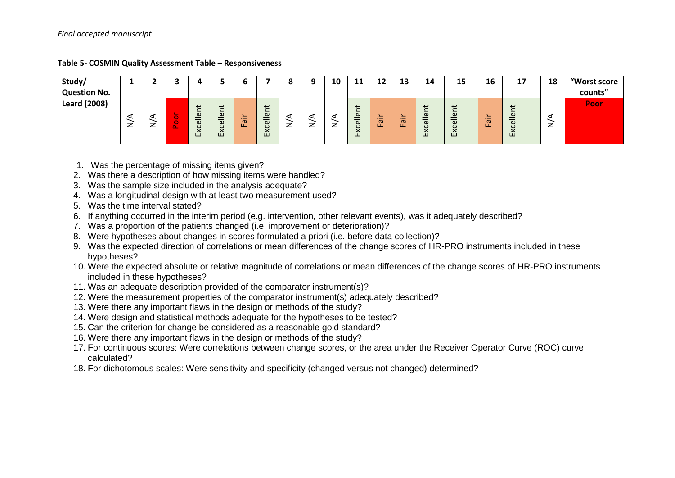| Study/              |        |        |             |                                                  |                                                         |                    |                                        |             |        | 10 | $\sim$<br>--                                                                              | 19<br>---                  | 12<br>IJ           | 14                                                                                              | 15            | 16                                             | 17                         | 18 | "Worst score |
|---------------------|--------|--------|-------------|--------------------------------------------------|---------------------------------------------------------|--------------------|----------------------------------------|-------------|--------|----|-------------------------------------------------------------------------------------------|----------------------------|--------------------|-------------------------------------------------------------------------------------------------|---------------|------------------------------------------------|----------------------------|----|--------------|
| <b>Question No.</b> |        |        |             |                                                  |                                                         |                    |                                        |             |        |    |                                                                                           |                            |                    |                                                                                                 |               |                                                |                            |    | counts"      |
| <b>Leard (2008)</b> | -<br>_ | -<br>_ | $\sim$<br>œ | 七<br>∸<br>$\mathbbmss{D}$<br>$\bar{a}$<br>ပ<br>Ğ | ى<br>$\omega$<br>–<br>–<br>$\omega$<br>c<br>$\sim$<br>۩ | -<br>$\sigma$<br>ட | پ<br>Φ<br>–<br>$\omega$<br>ပ<br>ີ<br>۩ | ⊲<br>–<br>_ | ⋖<br>_ |    | $\overline{\phantom{0}}$<br>$\overline{\phantom{0}}$<br>Φ<br>–<br>$\omega$<br>ပ<br>ั<br>ῶ | -<br>$-$<br>$\sigma$<br>ш. | -<br>$\sigma$<br>ட | $\overline{\phantom{0}}$<br>$\omega$<br>$\overline{\omega}$<br>ပ<br>$\checkmark$<br>$\sim$<br>ш | ellent<br>Exc | -<br>$\overline{\phantom{0}}$<br>$\sigma$<br>ட | ى<br>eller<br>$\circ$<br>≏ | z  | Poor         |

#### **Table 5- COSMIN Quality Assessment Table – Responsiveness**

- 1. Was the percentage of missing items given?
- 2. Was there a description of how missing items were handled?
- 3. Was the sample size included in the analysis adequate?
- 4. Was a longitudinal design with at least two measurement used?
- 5. Was the time interval stated?
- 6. If anything occurred in the interim period (e.g. intervention, other relevant events), was it adequately described?
- 7. Was a proportion of the patients changed (i.e. improvement or deterioration)?
- 8. Were hypotheses about changes in scores formulated a priori (i.e. before data collection)?
- 9. Was the expected direction of correlations or mean differences of the change scores of HR-PRO instruments included in these hypotheses?
- 10. Were the expected absolute or relative magnitude of correlations or mean differences of the change scores of HR-PRO instruments included in these hypotheses?
- 11. Was an adequate description provided of the comparator instrument(s)?
- 12. Were the measurement properties of the comparator instrument(s) adequately described?
- 13. Were there any important flaws in the design or methods of the study?
- 14. Were design and statistical methods adequate for the hypotheses to be tested?
- 15. Can the criterion for change be considered as a reasonable gold standard?
- 16. Were there any important flaws in the design or methods of the study?
- 17. For continuous scores: Were correlations between change scores, or the area under the Receiver Operator Curve (ROC) curve calculated?
- 18. For dichotomous scales: Were sensitivity and specificity (changed versus not changed) determined?